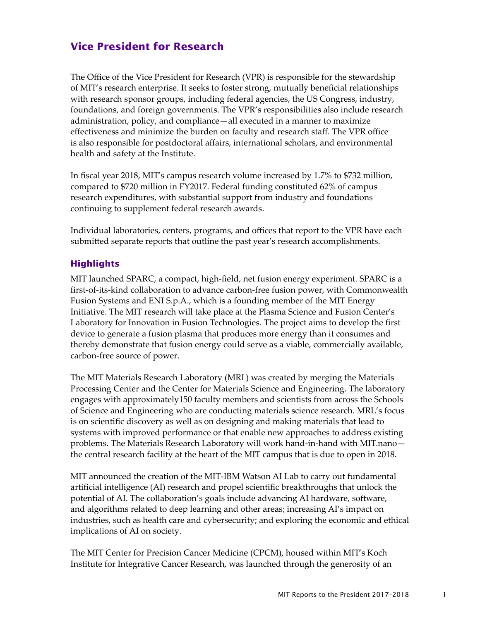## **Vice President for Research**

The Office of the Vice President for Research (VPR) is responsible for the stewardship of MIT's research enterprise. It seeks to foster strong, mutually beneficial relationships with research sponsor groups, including federal agencies, the US Congress, industry, foundations, and foreign governments. The VPR's responsibilities also include research administration, policy, and compliance—all executed in a manner to maximize effectiveness and minimize the burden on faculty and research staff. The VPR office is also responsible for postdoctoral affairs, international scholars, and environmental health and safety at the Institute.

In fiscal year 2018, MIT's campus research volume increased by 1.7% to \$732 million, compared to \$720 million in FY2017. Federal funding constituted 62% of campus research expenditures, with substantial support from industry and foundations continuing to supplement federal research awards.

Individual laboratories, centers, programs, and offices that report to the VPR have each submitted separate reports that outline the past year's research accomplishments.

## **Highlights**

MIT launched SPARC, a compact, high-field, net fusion energy experiment. SPARC is a first-of-its-kind collaboration to advance carbon-free fusion power, with Commonwealth Fusion Systems and ENI S.p.A., which is a founding member of the MIT Energy Initiative. The MIT research will take place at the Plasma Science and Fusion Center's Laboratory for Innovation in Fusion Technologies. The project aims to develop the first device to generate a fusion plasma that produces more energy than it consumes and thereby demonstrate that fusion energy could serve as a viable, commercially available, carbon-free source of power.

The MIT Materials Research Laboratory (MRL) was created by merging the Materials Processing Center and the Center for Materials Science and Engineering. The laboratory engages with approximately150 faculty members and scientists from across the Schools of Science and Engineering who are conducting materials science research. MRL's focus is on scientific discovery as well as on designing and making materials that lead to systems with improved performance or that enable new approaches to address existing problems. The Materials Research Laboratory will work hand-in-hand with MIT.nano the central research facility at the heart of the MIT campus that is due to open in 2018.

MIT announced the creation of the MIT-IBM Watson AI Lab to carry out fundamental artificial intelligence (AI) research and propel scientific breakthroughs that unlock the potential of AI. The collaboration's goals include advancing AI hardware, software, and algorithms related to deep learning and other areas; increasing AI's impact on industries, such as health care and cybersecurity; and exploring the economic and ethical implications of AI on society.

The MIT Center for Precision Cancer Medicine (CPCM), housed within MIT's Koch Institute for Integrative Cancer Research, was launched through the generosity of an